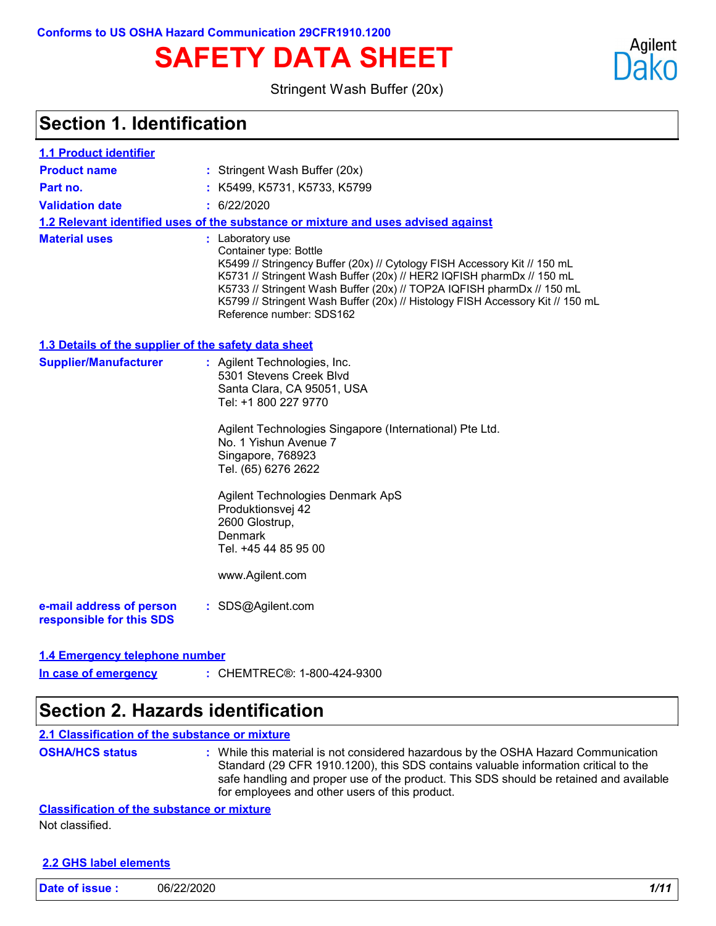# **SAFETY DATA SHEET**

Stringent Wash Buffer (20x)

### **Section 1. Identification**

| 1.1 Product identifier                               |                                                                                                                                                                                                                                                                                                                                                                                          |
|------------------------------------------------------|------------------------------------------------------------------------------------------------------------------------------------------------------------------------------------------------------------------------------------------------------------------------------------------------------------------------------------------------------------------------------------------|
| <b>Product name</b>                                  | : Stringent Wash Buffer (20x)                                                                                                                                                                                                                                                                                                                                                            |
| Part no.                                             | : K5499, K5731, K5733, K5799                                                                                                                                                                                                                                                                                                                                                             |
| <b>Validation date</b>                               | : 6/22/2020                                                                                                                                                                                                                                                                                                                                                                              |
|                                                      | 1.2 Relevant identified uses of the substance or mixture and uses advised against                                                                                                                                                                                                                                                                                                        |
| <b>Material uses</b>                                 | : Laboratory use<br>Container type: Bottle<br>K5499 // Stringency Buffer (20x) // Cytology FISH Accessory Kit // 150 mL<br>K5731 // Stringent Wash Buffer (20x) // HER2 IQFISH pharmDx // 150 mL<br>K5733 // Stringent Wash Buffer (20x) // TOP2A IQFISH pharmDx // 150 mL<br>K5799 // Stringent Wash Buffer (20x) // Histology FISH Accessory Kit // 150 mL<br>Reference number: SDS162 |
| 1.3 Details of the supplier of the safety data sheet |                                                                                                                                                                                                                                                                                                                                                                                          |
| <b>Supplier/Manufacturer</b>                         | : Agilent Technologies, Inc.<br>5301 Stevens Creek Blvd<br>Santa Clara, CA 95051, USA<br>Tel: +1 800 227 9770<br>Agilent Technologies Singapore (International) Pte Ltd.<br>No. 1 Yishun Avenue 7<br>Singapore, 768923<br>Tel. (65) 6276 2622<br>Agilent Technologies Denmark ApS<br>Produktionsvej 42<br>2600 Glostrup,<br>Denmark<br>Tel. +45 44 85 95 00<br>www.Agilent.com           |
| e-mail address of person<br>responsible for this SDS | : SDS@Agilent.com                                                                                                                                                                                                                                                                                                                                                                        |

#### **1.4 Emergency telephone number**

CHEMTREC®: 1-800-424-9300 **: In case of emergency**

### **Section 2. Hazards identification**

**2.1 Classification of the substance or mixture**

**OSHA/HCS status :** While this material is not considered hazardous by the OSHA Hazard Communication Standard (29 CFR 1910.1200), this SDS contains valuable information critical to the safe handling and proper use of the product. This SDS should be retained and available for employees and other users of this product.

**Classification of the substance or mixture**

Not classified.

#### **2.2 GHS label elements**

| Date of issue: | 06/22/2020 |  | 1/11 |
|----------------|------------|--|------|
|----------------|------------|--|------|

Agilent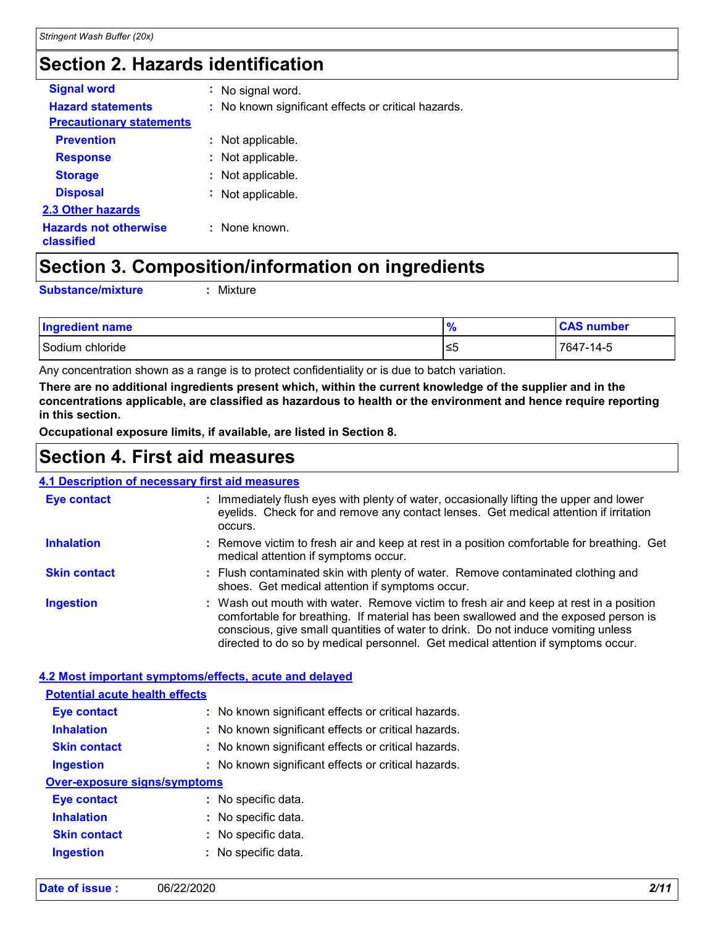### **Section 2. Hazards identification**

| <b>Signal word</b>                         | : No signal word.                                   |
|--------------------------------------------|-----------------------------------------------------|
| <b>Hazard statements</b>                   | : No known significant effects or critical hazards. |
| <b>Precautionary statements</b>            |                                                     |
| <b>Prevention</b>                          | : Not applicable.                                   |
| <b>Response</b>                            | : Not applicable.                                   |
| <b>Storage</b>                             | : Not applicable.                                   |
| <b>Disposal</b>                            | : Not applicable.                                   |
| <b>2.3 Other hazards</b>                   |                                                     |
| <b>Hazards not otherwise</b><br>classified | : None known.                                       |

### **Section 3. Composition/information on ingredients**

**Substance/mixture :**

: Mixture

| <b>Ingredient name</b> | 70  | <b>CAS number</b> |
|------------------------|-----|-------------------|
| Sodium chloride        | 1≤5 | 7647-14-5         |

Any concentration shown as a range is to protect confidentiality or is due to batch variation.

**There are no additional ingredients present which, within the current knowledge of the supplier and in the concentrations applicable, are classified as hazardous to health or the environment and hence require reporting in this section.**

**Occupational exposure limits, if available, are listed in Section 8.**

### **Section 4. First aid measures**

#### **4.1 Description of necessary first aid measures**

| <u>n i Doodhanon of hooddodi'r mot afa moddu do</u>    |                                                                                                                                                                                                                                                                                                                                                        |
|--------------------------------------------------------|--------------------------------------------------------------------------------------------------------------------------------------------------------------------------------------------------------------------------------------------------------------------------------------------------------------------------------------------------------|
| Eye contact                                            | : Immediately flush eyes with plenty of water, occasionally lifting the upper and lower<br>eyelids. Check for and remove any contact lenses. Get medical attention if irritation<br>occurs.                                                                                                                                                            |
| <b>Inhalation</b>                                      | : Remove victim to fresh air and keep at rest in a position comfortable for breathing. Get<br>medical attention if symptoms occur.                                                                                                                                                                                                                     |
| <b>Skin contact</b>                                    | : Flush contaminated skin with plenty of water. Remove contaminated clothing and<br>shoes. Get medical attention if symptoms occur.                                                                                                                                                                                                                    |
| <b>Ingestion</b>                                       | : Wash out mouth with water. Remove victim to fresh air and keep at rest in a position<br>comfortable for breathing. If material has been swallowed and the exposed person is<br>conscious, give small quantities of water to drink. Do not induce vomiting unless<br>directed to do so by medical personnel. Get medical attention if symptoms occur. |
| 4.2 Most important symptoms/effects, acute and delayed |                                                                                                                                                                                                                                                                                                                                                        |
| <b>Potential acute health effects</b>                  |                                                                                                                                                                                                                                                                                                                                                        |
| <b>Eye contact</b>                                     | : No known significant effects or critical hazards.                                                                                                                                                                                                                                                                                                    |
| <b>Inhalation</b>                                      | : No known significant effects or critical hazards.                                                                                                                                                                                                                                                                                                    |
| <b>Skin contact</b>                                    | : No known significant effects or critical hazards.                                                                                                                                                                                                                                                                                                    |
| <b>Ingestion</b>                                       | : No known significant effects or critical hazards.                                                                                                                                                                                                                                                                                                    |
| <b>Over-exposure signs/symptoms</b>                    |                                                                                                                                                                                                                                                                                                                                                        |
| <b>Eye contact</b>                                     | : No specific data.                                                                                                                                                                                                                                                                                                                                    |
| <b>Inhalation</b>                                      | : No specific data.                                                                                                                                                                                                                                                                                                                                    |
| <b>Skin contact</b>                                    | : No specific data.                                                                                                                                                                                                                                                                                                                                    |
| <b>Ingestion</b>                                       | : No specific data.                                                                                                                                                                                                                                                                                                                                    |

| Date of issue: | 06/22/2020 | 2/11 |
|----------------|------------|------|
|----------------|------------|------|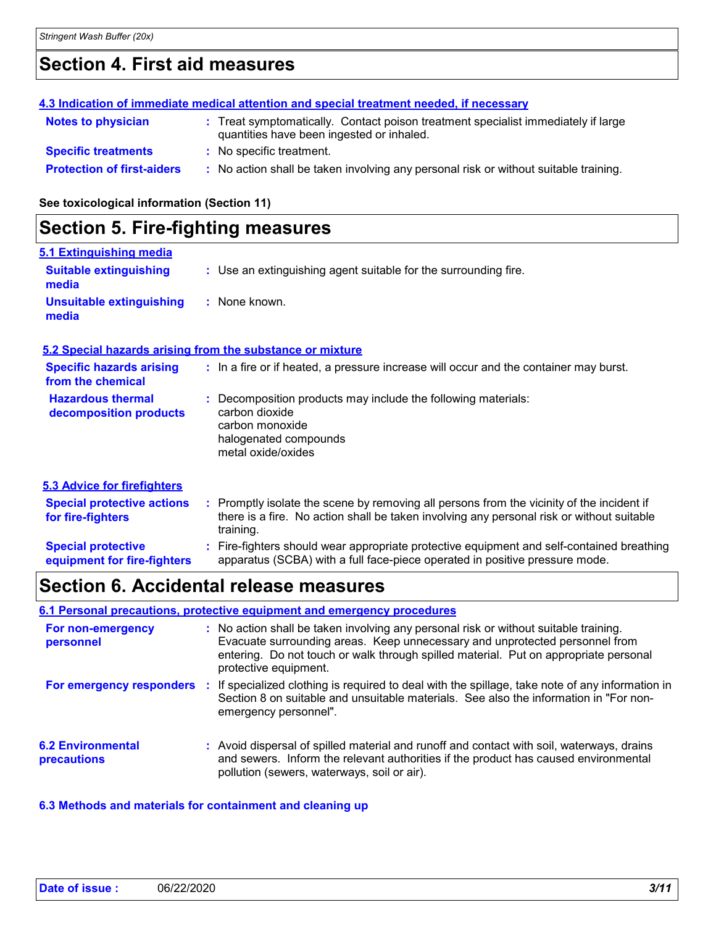### **Section 4. First aid measures**

|                                   | 4.3 Indication of immediate medical attention and special treatment needed, if necessary                                       |
|-----------------------------------|--------------------------------------------------------------------------------------------------------------------------------|
| <b>Notes to physician</b>         | : Treat symptomatically. Contact poison treatment specialist immediately if large<br>quantities have been ingested or inhaled. |
| <b>Specific treatments</b>        | : No specific treatment.                                                                                                       |
| <b>Protection of first-aiders</b> | : No action shall be taken involving any personal risk or without suitable training.                                           |

#### **See toxicological information (Section 11)**

### **Section 5. Fire-fighting measures**

| 5.1 Extinguishing media                |                                                                 |
|----------------------------------------|-----------------------------------------------------------------|
| <b>Suitable extinguishing</b><br>media | : Use an extinguishing agent suitable for the surrounding fire. |
| Unsuitable extinguishing<br>media      | : None known.                                                   |

#### **5.2 Special hazards arising from the substance or mixture**

| <b>Specific hazards arising</b><br>from the chemical   | : In a fire or if heated, a pressure increase will occur and the container may burst.                                                                                                              |
|--------------------------------------------------------|----------------------------------------------------------------------------------------------------------------------------------------------------------------------------------------------------|
| <b>Hazardous thermal</b><br>decomposition products     | : Decomposition products may include the following materials:<br>carbon dioxide<br>carbon monoxide<br>halogenated compounds<br>metal oxide/oxides                                                  |
| 5.3 Advice for firefighters                            |                                                                                                                                                                                                    |
| <b>Special protective actions</b><br>for fire-fighters | : Promptly isolate the scene by removing all persons from the vicinity of the incident if<br>there is a fire. No action shall be taken involving any personal risk or without suitable<br>training |

|                             | uallilly.                                                                                 |
|-----------------------------|-------------------------------------------------------------------------------------------|
| <b>Special protective</b>   | : Fire-fighters should wear appropriate protective equipment and self-contained breathing |
| equipment for fire-fighters | apparatus (SCBA) with a full face-piece operated in positive pressure mode.               |

### **Section 6. Accidental release measures**

#### **6.1 Personal precautions, protective equipment and emergency procedures**

| For non-emergency<br>personnel          | : No action shall be taken involving any personal risk or without suitable training.<br>Evacuate surrounding areas. Keep unnecessary and unprotected personnel from<br>entering. Do not touch or walk through spilled material. Put on appropriate personal<br>protective equipment. |
|-----------------------------------------|--------------------------------------------------------------------------------------------------------------------------------------------------------------------------------------------------------------------------------------------------------------------------------------|
| For emergency responders                | If specialized clothing is required to deal with the spillage, take note of any information in<br>Section 8 on suitable and unsuitable materials. See also the information in "For non-<br>emergency personnel".                                                                     |
| <b>6.2 Environmental</b><br>precautions | : Avoid dispersal of spilled material and runoff and contact with soil, waterways, drains<br>and sewers. Inform the relevant authorities if the product has caused environmental<br>pollution (sewers, waterways, soil or air).                                                      |

#### **6.3 Methods and materials for containment and cleaning up**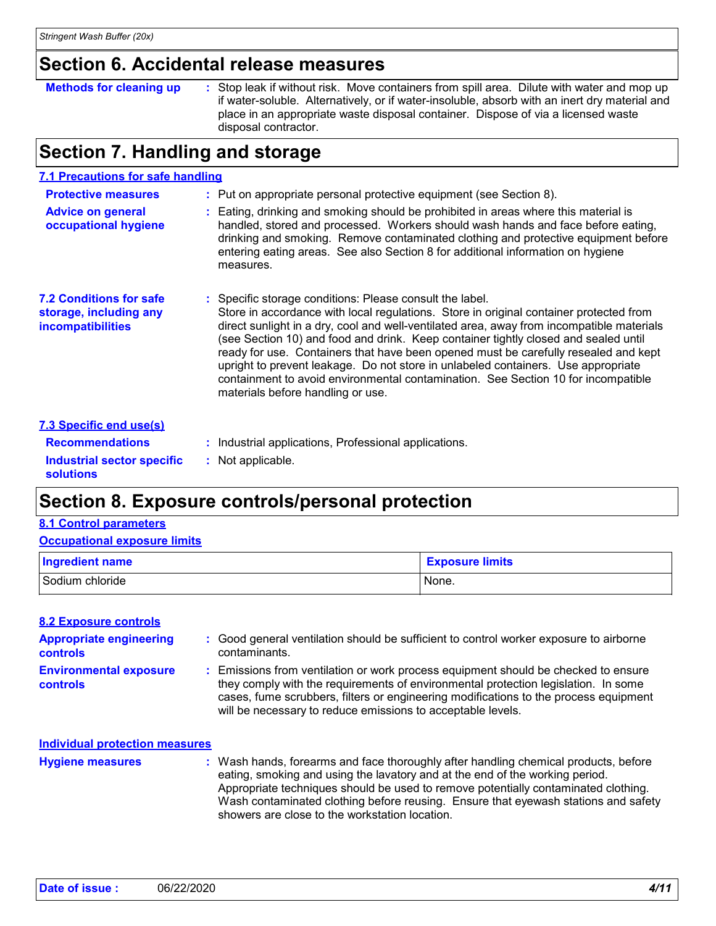### **Section 6. Accidental release measures**

Stop leak if without risk. Move containers from spill area. Dilute with water and mop up if water-soluble. Alternatively, or if water-insoluble, absorb with an inert dry material and place in an appropriate waste disposal container. Dispose of via a licensed waste disposal contractor. **Methods for cleaning up :**

### **Section 7. Handling and storage**

| <b>7.1 Precautions for safe handling</b>                                             |                                                                                                                                                                                                                                                                                                                                                                                                                                                                                                                                                                                                                                            |
|--------------------------------------------------------------------------------------|--------------------------------------------------------------------------------------------------------------------------------------------------------------------------------------------------------------------------------------------------------------------------------------------------------------------------------------------------------------------------------------------------------------------------------------------------------------------------------------------------------------------------------------------------------------------------------------------------------------------------------------------|
| <b>Protective measures</b>                                                           | : Put on appropriate personal protective equipment (see Section 8).                                                                                                                                                                                                                                                                                                                                                                                                                                                                                                                                                                        |
| <b>Advice on general</b><br>occupational hygiene                                     | Eating, drinking and smoking should be prohibited in areas where this material is<br>handled, stored and processed. Workers should wash hands and face before eating,<br>drinking and smoking. Remove contaminated clothing and protective equipment before<br>entering eating areas. See also Section 8 for additional information on hygiene<br>measures.                                                                                                                                                                                                                                                                                |
| <b>7.2 Conditions for safe</b><br>storage, including any<br><b>incompatibilities</b> | Specific storage conditions: Please consult the label.<br>Store in accordance with local regulations. Store in original container protected from<br>direct sunlight in a dry, cool and well-ventilated area, away from incompatible materials<br>(see Section 10) and food and drink. Keep container tightly closed and sealed until<br>ready for use. Containers that have been opened must be carefully resealed and kept<br>upright to prevent leakage. Do not store in unlabeled containers. Use appropriate<br>containment to avoid environmental contamination. See Section 10 for incompatible<br>materials before handling or use. |
| <b>7.3 Specific end use(s)</b>                                                       |                                                                                                                                                                                                                                                                                                                                                                                                                                                                                                                                                                                                                                            |
| <b>Recommendations</b>                                                               | Industrial applications, Professional applications.                                                                                                                                                                                                                                                                                                                                                                                                                                                                                                                                                                                        |
| Industrial sector specific                                                           | Not applicable.                                                                                                                                                                                                                                                                                                                                                                                                                                                                                                                                                                                                                            |

### **Section 8. Exposure controls/personal protection**

#### **8.1 Control parameters**

**solutions**

| <b>Occupational exposure limits</b> |                        |  |  |  |
|-------------------------------------|------------------------|--|--|--|
| <b>Ingredient name</b>              | <b>Exposure limits</b> |  |  |  |
| Sodium chloride                     | None.                  |  |  |  |

| <b>8.2 Exposure controls</b>                      |                                                                                                                                                                                                                                                                                                                                 |
|---------------------------------------------------|---------------------------------------------------------------------------------------------------------------------------------------------------------------------------------------------------------------------------------------------------------------------------------------------------------------------------------|
| <b>Appropriate engineering</b><br><b>controls</b> | : Good general ventilation should be sufficient to control worker exposure to airborne<br>contaminants.                                                                                                                                                                                                                         |
| <b>Environmental exposure</b><br>controls         | : Emissions from ventilation or work process equipment should be checked to ensure<br>they comply with the requirements of environmental protection legislation. In some<br>cases, fume scrubbers, filters or engineering modifications to the process equipment<br>will be necessary to reduce emissions to acceptable levels. |

Wash hands, forearms and face thoroughly after handling chemical products, before eating, smoking and using the lavatory and at the end of the working period. Appropriate techniques should be used to remove potentially contaminated clothing. Wash contaminated clothing before reusing. Ensure that eyewash stations and safety showers are close to the workstation location. **Hygiene measures : Individual protection measures**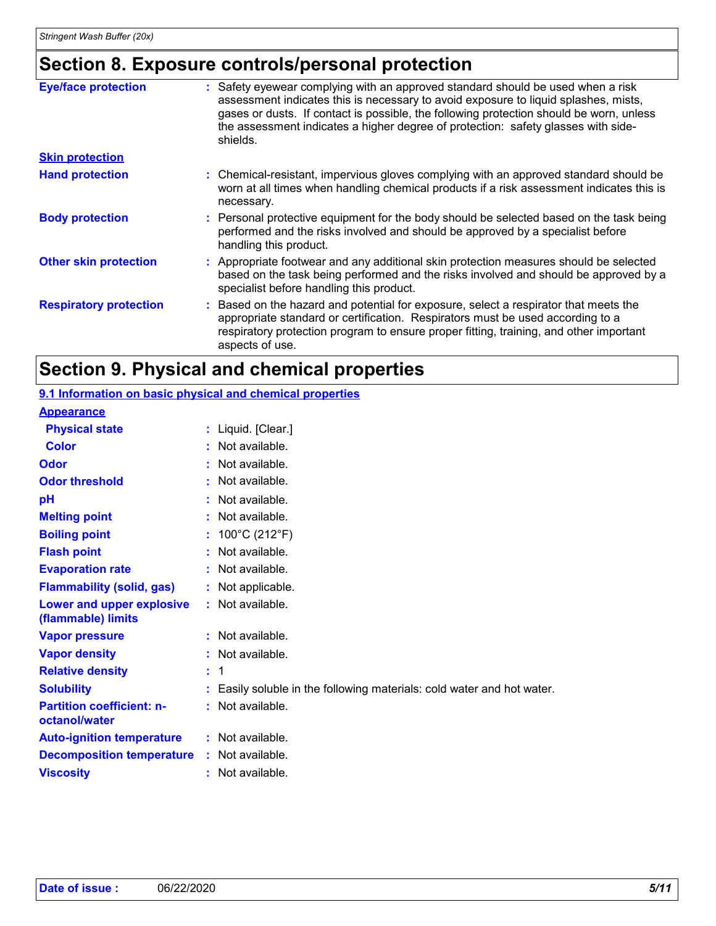## **Section 8. Exposure controls/personal protection**

| <b>Eye/face protection</b>    | Safety eyewear complying with an approved standard should be used when a risk<br>assessment indicates this is necessary to avoid exposure to liquid splashes, mists,<br>gases or dusts. If contact is possible, the following protection should be worn, unless                   |
|-------------------------------|-----------------------------------------------------------------------------------------------------------------------------------------------------------------------------------------------------------------------------------------------------------------------------------|
|                               | the assessment indicates a higher degree of protection: safety glasses with side-<br>shields.                                                                                                                                                                                     |
| <b>Skin protection</b>        |                                                                                                                                                                                                                                                                                   |
| <b>Hand protection</b>        | : Chemical-resistant, impervious gloves complying with an approved standard should be<br>worn at all times when handling chemical products if a risk assessment indicates this is<br>necessary.                                                                                   |
| <b>Body protection</b>        | : Personal protective equipment for the body should be selected based on the task being<br>performed and the risks involved and should be approved by a specialist before<br>handling this product.                                                                               |
| <b>Other skin protection</b>  | : Appropriate footwear and any additional skin protection measures should be selected<br>based on the task being performed and the risks involved and should be approved by a<br>specialist before handling this product.                                                         |
| <b>Respiratory protection</b> | Based on the hazard and potential for exposure, select a respirator that meets the<br>appropriate standard or certification. Respirators must be used according to a<br>respiratory protection program to ensure proper fitting, training, and other important<br>aspects of use. |

# **Section 9. Physical and chemical properties**

| 9.1 Information on basic physical and chemical properties |    |                                                                      |
|-----------------------------------------------------------|----|----------------------------------------------------------------------|
| <b>Appearance</b>                                         |    |                                                                      |
| <b>Physical state</b>                                     |    | : Liquid. [Clear.]                                                   |
| <b>Color</b>                                              |    | Not available.                                                       |
| Odor                                                      |    | Not available.                                                       |
| <b>Odor threshold</b>                                     | t. | Not available.                                                       |
| pH                                                        |    | Not available.                                                       |
| <b>Melting point</b>                                      |    | Not available.                                                       |
| <b>Boiling point</b>                                      |    | : $100^{\circ}$ C (212 $^{\circ}$ F)                                 |
| <b>Flash point</b>                                        | t. | Not available.                                                       |
| <b>Evaporation rate</b>                                   |    | : Not available.                                                     |
| <b>Flammability (solid, gas)</b>                          |    | : Not applicable.                                                    |
| Lower and upper explosive<br>(flammable) limits           |    | $:$ Not available.                                                   |
| <b>Vapor pressure</b>                                     |    | $:$ Not available.                                                   |
| <b>Vapor density</b>                                      |    | : Not available.                                                     |
| <b>Relative density</b>                                   | t. | 1                                                                    |
| <b>Solubility</b>                                         |    | Easily soluble in the following materials: cold water and hot water. |
| <b>Partition coefficient: n-</b><br>octanol/water         |    | : Not available.                                                     |
| <b>Auto-ignition temperature</b>                          |    | : Not available.                                                     |
| <b>Decomposition temperature</b>                          |    | : Not available.                                                     |
| <b>Viscosity</b>                                          |    | Not available.                                                       |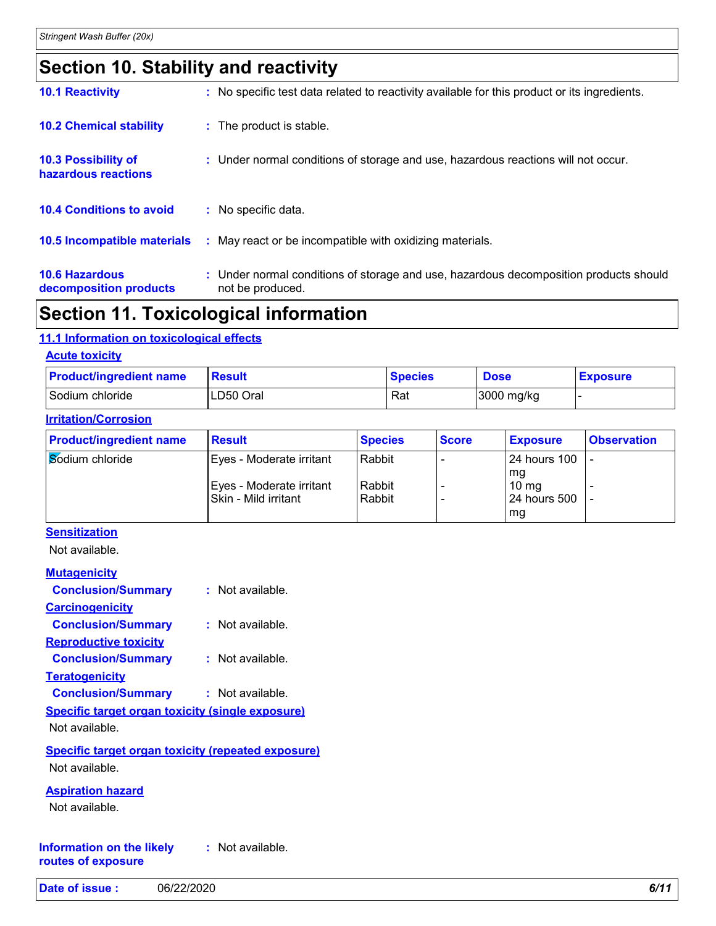### **Section 10. Stability and reactivity**

| <b>10.1 Reactivity</b>                            | : No specific test data related to reactivity available for this product or its ingredients.              |
|---------------------------------------------------|-----------------------------------------------------------------------------------------------------------|
| <b>10.2 Chemical stability</b>                    | : The product is stable.                                                                                  |
| <b>10.3 Possibility of</b><br>hazardous reactions | : Under normal conditions of storage and use, hazardous reactions will not occur.                         |
| <b>10.4 Conditions to avoid</b>                   | : No specific data.                                                                                       |
| 10.5 Incompatible materials                       | : May react or be incompatible with oxidizing materials.                                                  |
| <b>10.6 Hazardous</b><br>decomposition products   | : Under normal conditions of storage and use, hazardous decomposition products should<br>not be produced. |

### **Section 11. Toxicological information**

#### **11.1 Information on toxicological effects**

**Acute toxicity**

| <b>Product/ingredient name</b> | Result    | <b>Species</b> | <b>Dose</b> | <b>Exposure</b> |
|--------------------------------|-----------|----------------|-------------|-----------------|
| Sodium chloride                | LD50 Oral | Rat            | 3000 mg/kg  |                 |

#### **Irritation/Corrosion**

| <b>Product/ingredient name</b> | <b>Result</b>                                    | <b>Species</b>   | <b>Score</b> | <b>Exposure</b>                         | <b>Observation</b> |
|--------------------------------|--------------------------------------------------|------------------|--------------|-----------------------------------------|--------------------|
| Sodium chloride                | Eyes - Moderate irritant                         | Rabbit           |              | <b>24 hours 100</b>                     |                    |
|                                | Eyes - Moderate irritant<br>Skin - Mild irritant | Rabbit<br>Rabbit |              | mg<br>$10 \text{ mg}$<br>l 24 hours 500 |                    |
|                                |                                                  |                  |              | mg                                      |                    |

#### **Sensitization**

Not available.

| <b>Mutagenicity</b>                                     |                    |
|---------------------------------------------------------|--------------------|
| <b>Conclusion/Summary</b>                               | $:$ Not available. |
| <b>Carcinogenicity</b>                                  |                    |
| <b>Conclusion/Summary</b>                               | : Not available.   |
| <b>Reproductive toxicity</b>                            |                    |
| <b>Conclusion/Summary</b>                               | $:$ Not available. |
| <b>Teratogenicity</b>                                   |                    |
| <b>Conclusion/Summary</b>                               | $:$ Not available. |
| <b>Specific target organ toxicity (single exposure)</b> |                    |

Not available.

**Specific target organ toxicity (repeated exposure)** Not available.

**Aspiration hazard**

Not available.

**Information on the likely routes of exposure :** Not available.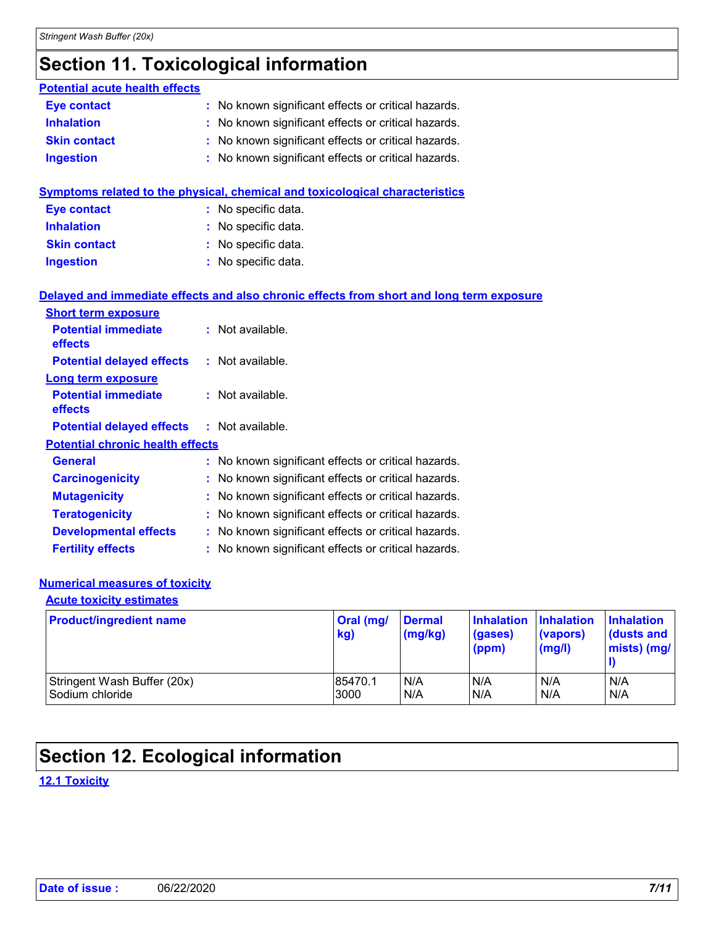# **Section 11. Toxicological information**

| <b>Potential acute health effects</b>   |                                                                                          |
|-----------------------------------------|------------------------------------------------------------------------------------------|
| <b>Eye contact</b>                      | : No known significant effects or critical hazards.                                      |
| <b>Inhalation</b>                       | : No known significant effects or critical hazards.                                      |
| <b>Skin contact</b>                     | No known significant effects or critical hazards.                                        |
| <b>Ingestion</b>                        | : No known significant effects or critical hazards.                                      |
|                                         | <b>Symptoms related to the physical, chemical and toxicological characteristics</b>      |
| <b>Eye contact</b>                      | : No specific data.                                                                      |
| <b>Inhalation</b>                       | No specific data.                                                                        |
| <b>Skin contact</b>                     | : No specific data.                                                                      |
| <b>Ingestion</b>                        | No specific data.                                                                        |
| <b>Short term exposure</b>              | Delayed and immediate effects and also chronic effects from short and long term exposure |
| <b>Potential immediate</b><br>effects   | : Not available.                                                                         |
| <b>Potential delayed effects</b>        | : Not available.                                                                         |
| <b>Long term exposure</b>               |                                                                                          |
| <b>Potential immediate</b><br>effects   | : Not available.                                                                         |
| <b>Potential delayed effects</b>        | $:$ Not available.                                                                       |
| <b>Potential chronic health effects</b> |                                                                                          |
| <b>General</b>                          | : No known significant effects or critical hazards.                                      |
| <b>Carcinogenicity</b>                  | No known significant effects or critical hazards.                                        |
| <b>Mutagenicity</b>                     | : No known significant effects or critical hazards.                                      |
| <b>Teratogenicity</b>                   | No known significant effects or critical hazards.                                        |
| <b>Developmental effects</b>            | : No known significant effects or critical hazards.                                      |
| <b>Fertility effects</b>                | No known significant effects or critical hazards.                                        |

#### **Numerical measures of toxicity**

#### **Acute toxicity estimates**

| <b>Product/ingredient name</b> | Oral (mg/<br>kg) | <b>Dermal</b><br>(mg/kg) | Inhalation Inhalation<br>(gases)<br>(ppm) | (vapors)<br>(mg/l) | <b>Inhalation</b><br>dusts and<br>mists) (mg/ |
|--------------------------------|------------------|--------------------------|-------------------------------------------|--------------------|-----------------------------------------------|
| Stringent Wash Buffer (20x)    | 85470.1          | N/A                      | N/A                                       | N/A                | N/A                                           |
| Sodium chloride                | 3000             | N/A                      | N/A                                       | N/A                | N/A                                           |

# **Section 12. Ecological information**

**12.1 Toxicity**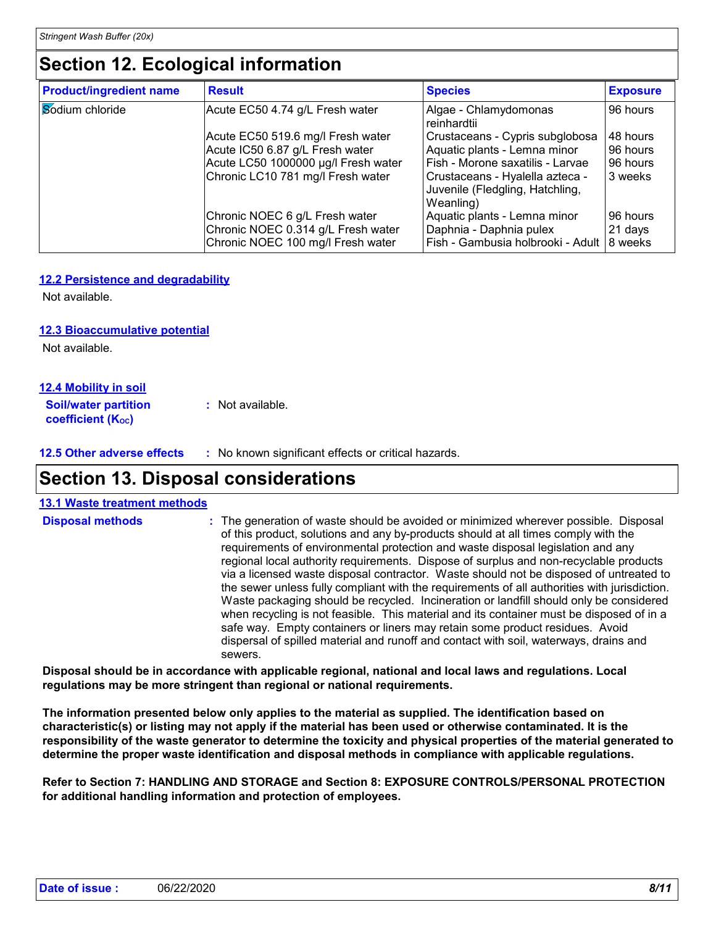### **Section 12. Ecological information**

| <b>Product/ingredient name</b> | <b>Result</b>                       | <b>Species</b>                                                                  | <b>Exposure</b> |
|--------------------------------|-------------------------------------|---------------------------------------------------------------------------------|-----------------|
| Sodium chloride                | Acute EC50 4.74 g/L Fresh water     | Algae - Chlamydomonas<br>reinhardtii                                            | 96 hours        |
|                                | Acute EC50 519.6 mg/l Fresh water   | Crustaceans - Cypris subglobosa                                                 | 48 hours        |
|                                | Acute IC50 6.87 g/L Fresh water     | Aquatic plants - Lemna minor                                                    | 96 hours        |
|                                | Acute LC50 1000000 µg/l Fresh water | Fish - Morone saxatilis - Larvae                                                | 96 hours        |
|                                | Chronic LC10 781 mg/l Fresh water   | Crustaceans - Hyalella azteca -<br>Juvenile (Fledgling, Hatchling,<br>Weanling) | 3 weeks         |
|                                | Chronic NOEC 6 g/L Fresh water      | Aquatic plants - Lemna minor                                                    | 96 hours        |
|                                | Chronic NOEC 0.314 g/L Fresh water  | Daphnia - Daphnia pulex                                                         | 21 days         |
|                                | Chronic NOEC 100 mg/l Fresh water   | Fish - Gambusia holbrooki - Adult   8 weeks                                     |                 |

#### **12.2 Persistence and degradability**

Not available.

#### **12.3 Bioaccumulative potential**

Not available.

#### **12.4 Mobility in soil**

**Soil/water partition coefficient (K**<sub>oc</sub>) **:** Not available.

**12.5 Other adverse effects :** No known significant effects or critical hazards.

### **Section 13. Disposal considerations**

| <b>13.1 Waste treatment methods</b> |                                                                                                                                                                                                                                                                                                                                                                                                                                                                                                                                                                                                                                                                                                                                                                                                                                                                                                                            |
|-------------------------------------|----------------------------------------------------------------------------------------------------------------------------------------------------------------------------------------------------------------------------------------------------------------------------------------------------------------------------------------------------------------------------------------------------------------------------------------------------------------------------------------------------------------------------------------------------------------------------------------------------------------------------------------------------------------------------------------------------------------------------------------------------------------------------------------------------------------------------------------------------------------------------------------------------------------------------|
| <b>Disposal methods</b>             | : The generation of waste should be avoided or minimized wherever possible. Disposal<br>of this product, solutions and any by-products should at all times comply with the<br>requirements of environmental protection and waste disposal legislation and any<br>regional local authority requirements. Dispose of surplus and non-recyclable products<br>via a licensed waste disposal contractor. Waste should not be disposed of untreated to<br>the sewer unless fully compliant with the requirements of all authorities with jurisdiction.<br>Waste packaging should be recycled. Incineration or landfill should only be considered<br>when recycling is not feasible. This material and its container must be disposed of in a<br>safe way. Empty containers or liners may retain some product residues. Avoid<br>dispersal of spilled material and runoff and contact with soil, waterways, drains and<br>sewers. |
|                                     |                                                                                                                                                                                                                                                                                                                                                                                                                                                                                                                                                                                                                                                                                                                                                                                                                                                                                                                            |

**Disposal should be in accordance with applicable regional, national and local laws and regulations. Local regulations may be more stringent than regional or national requirements.**

**The information presented below only applies to the material as supplied. The identification based on characteristic(s) or listing may not apply if the material has been used or otherwise contaminated. It is the responsibility of the waste generator to determine the toxicity and physical properties of the material generated to determine the proper waste identification and disposal methods in compliance with applicable regulations.**

**Refer to Section 7: HANDLING AND STORAGE and Section 8: EXPOSURE CONTROLS/PERSONAL PROTECTION for additional handling information and protection of employees.**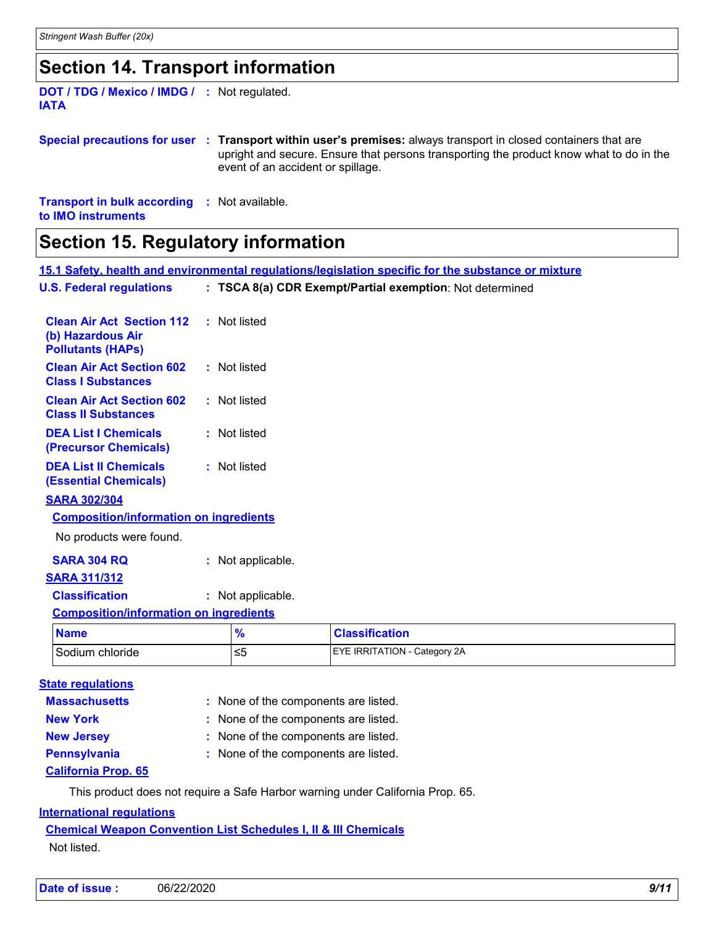### **Section 14. Transport information**

**DOT / TDG / Mexico / IMDG / :** Not regulated. **IATA**

**Special precautions for user Transport within user's premises:** always transport in closed containers that are **:** upright and secure. Ensure that persons transporting the product know what to do in the event of an accident or spillage.

**Transport in bulk according :** Not available. **to IMO instruments**

# $\mathsf{r}$

| <b>Section 15. Regulatory information</b>                                         |                                                                                                     |                   |                                                          |  |  |  |
|-----------------------------------------------------------------------------------|-----------------------------------------------------------------------------------------------------|-------------------|----------------------------------------------------------|--|--|--|
|                                                                                   | 15.1 Safety, health and environmental regulations/legislation specific for the substance or mixture |                   |                                                          |  |  |  |
| <b>U.S. Federal regulations</b>                                                   |                                                                                                     |                   | : TSCA 8(a) CDR Exempt/Partial exemption: Not determined |  |  |  |
| <b>Clean Air Act Section 112</b><br>(b) Hazardous Air<br><b>Pollutants (HAPs)</b> |                                                                                                     | : Not listed      |                                                          |  |  |  |
| <b>Clean Air Act Section 602</b><br><b>Class I Substances</b>                     |                                                                                                     | : Not listed      |                                                          |  |  |  |
| <b>Clean Air Act Section 602</b><br><b>Class II Substances</b>                    |                                                                                                     | : Not listed      |                                                          |  |  |  |
| <b>DEA List I Chemicals</b><br>(Precursor Chemicals)                              |                                                                                                     | : Not listed      |                                                          |  |  |  |
| <b>DEA List II Chemicals</b><br><b>(Essential Chemicals)</b>                      |                                                                                                     | : Not listed      |                                                          |  |  |  |
| <b>SARA 302/304</b>                                                               |                                                                                                     |                   |                                                          |  |  |  |
| <b>Composition/information on ingredients</b>                                     |                                                                                                     |                   |                                                          |  |  |  |
| No products were found.                                                           |                                                                                                     |                   |                                                          |  |  |  |
| <b>SARA 304 RQ</b>                                                                |                                                                                                     | : Not applicable. |                                                          |  |  |  |
| <b>SARA 311/312</b>                                                               |                                                                                                     |                   |                                                          |  |  |  |
| <b>Classification</b>                                                             |                                                                                                     | : Not applicable. |                                                          |  |  |  |
| <b>Composition/information on ingredients</b>                                     |                                                                                                     |                   |                                                          |  |  |  |
| <b>Name</b>                                                                       |                                                                                                     | $\frac{9}{6}$     | <b>Classification</b>                                    |  |  |  |
| Sodium chloride                                                                   |                                                                                                     | $\leq 5$          | EYE IRRITATION - Category 2A                             |  |  |  |
|                                                                                   |                                                                                                     |                   |                                                          |  |  |  |

| <b>State regulations</b>                          |                                      |
|---------------------------------------------------|--------------------------------------|
| <b>Massachusetts</b>                              | : None of the components are listed. |
| <b>New York</b>                                   | : None of the components are listed. |
| <b>New Jersey</b>                                 | : None of the components are listed. |
| <b>Pennsylvania</b><br><b>California Prop. 65</b> | : None of the components are listed. |

This product does not require a Safe Harbor warning under California Prop. 65.

#### **International regulations**

**Chemical Weapon Convention List Schedules I, II & III Chemicals** Not listed.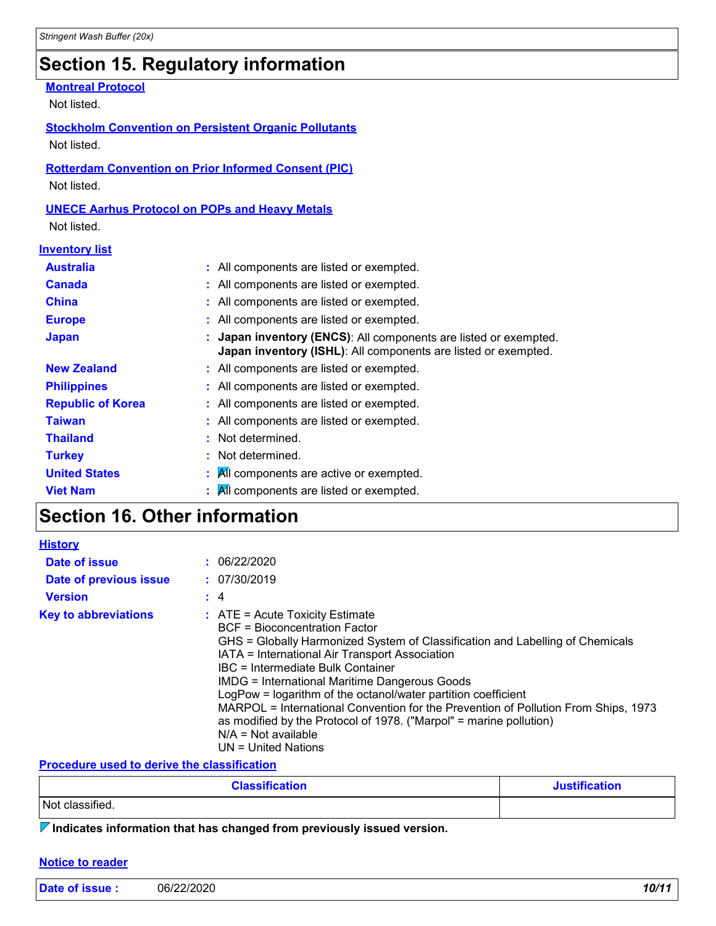# **Section 15. Regulatory information**

### **Montreal Protocol**

Not listed.

#### **Stockholm Convention on Persistent Organic Pollutants** Not listed.

### **Rotterdam Convention on Prior Informed Consent (PIC)**

Not listed.

### **UNECE Aarhus Protocol on POPs and Heavy Metals**

Not listed.

| <b>Inventory list</b>    |                                                                                                                                  |
|--------------------------|----------------------------------------------------------------------------------------------------------------------------------|
| <b>Australia</b>         | : All components are listed or exempted.                                                                                         |
| <b>Canada</b>            | : All components are listed or exempted.                                                                                         |
| <b>China</b>             | : All components are listed or exempted.                                                                                         |
| <b>Europe</b>            | : All components are listed or exempted.                                                                                         |
| <b>Japan</b>             | Japan inventory (ENCS): All components are listed or exempted.<br>Japan inventory (ISHL): All components are listed or exempted. |
| <b>New Zealand</b>       | : All components are listed or exempted.                                                                                         |
| <b>Philippines</b>       | : All components are listed or exempted.                                                                                         |
| <b>Republic of Korea</b> | : All components are listed or exempted.                                                                                         |
| <b>Taiwan</b>            | : All components are listed or exempted.                                                                                         |
| <b>Thailand</b>          | : Not determined.                                                                                                                |
| <b>Turkey</b>            | : Not determined.                                                                                                                |
| <b>United States</b>     | All components are active or exempted.<br>÷.                                                                                     |
| <b>Viet Nam</b>          | All components are listed or exempted.                                                                                           |

# **Section 16. Other information**

| <b>History</b>              |          |                                                                                                                                                                                                                                                                                                                                                                                                                                                                                                                                                                                            |
|-----------------------------|----------|--------------------------------------------------------------------------------------------------------------------------------------------------------------------------------------------------------------------------------------------------------------------------------------------------------------------------------------------------------------------------------------------------------------------------------------------------------------------------------------------------------------------------------------------------------------------------------------------|
| Date of issue               |          | : 06/22/2020                                                                                                                                                                                                                                                                                                                                                                                                                                                                                                                                                                               |
| Date of previous issue      |          | : 07/30/2019                                                                                                                                                                                                                                                                                                                                                                                                                                                                                                                                                                               |
| <b>Version</b>              | $\div$ 4 |                                                                                                                                                                                                                                                                                                                                                                                                                                                                                                                                                                                            |
| <b>Key to abbreviations</b> |          | $\therefore$ ATE = Acute Toxicity Estimate<br>BCF = Bioconcentration Factor<br>GHS = Globally Harmonized System of Classification and Labelling of Chemicals<br>IATA = International Air Transport Association<br>IBC = Intermediate Bulk Container<br><b>IMDG = International Maritime Dangerous Goods</b><br>LogPow = logarithm of the octanol/water partition coefficient<br>MARPOL = International Convention for the Prevention of Pollution From Ships, 1973<br>as modified by the Protocol of 1978. ("Marpol" = marine pollution)<br>$N/A$ = Not available<br>$UN = United Nations$ |

#### **Procedure used to derive the classification**

| <b>Classification</b> | <b>Justification</b> |
|-----------------------|----------------------|
| Not classified.       |                      |

**Indicates information that has changed from previously issued version.**

#### **Notice to reader**

| Date of issue: | 06/22/2020 | 10/11 |
|----------------|------------|-------|
|                |            |       |